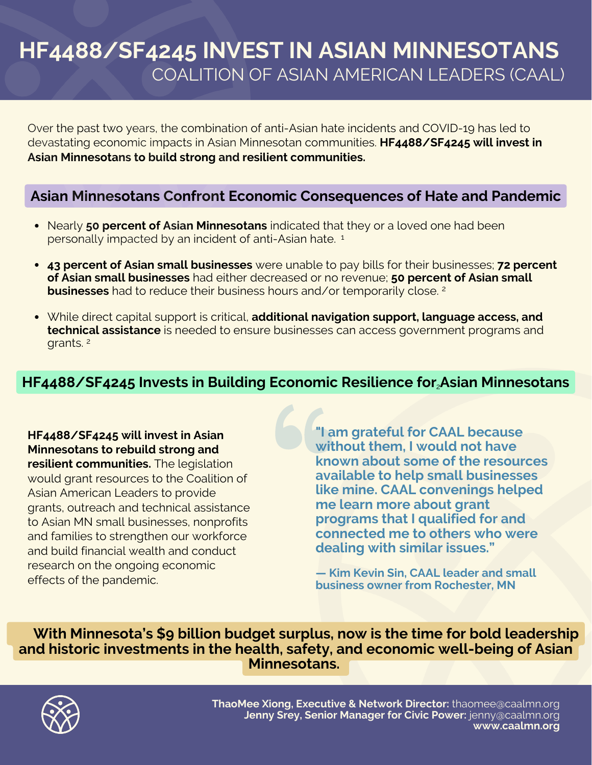# **HF4488/SF4245 INVEST IN ASIAN MINNESOTANS** COALITION OF ASIAN AMERICAN LEADERS (CAAL)

Over the past two years, the combination of anti-Asian hate incidents and COVID-19 has led to devastating economic impacts in Asian Minnesotan communities. **HF4488/SF4245 will invest in Asian Minnesotans to build strong and resilient communities.**

#### **Asian Minnesotans Confront Economic Consequences of Hate and Pandemic**

- Nearly **50 percent of Asian Minnesotans** indicated that they or a loved one had been personally impacted by an incident of anti-Asian hate. 1
- **43 percent of Asian small businesses** were unable to pay bills for their businesses; **72 percent of Asian small businesses** had either decreased or no revenue; **50 percent of Asian small businesses** had to reduce their business hours and/or temporarily close. 2
- While direct capital support is critical, **additional navigation support, language access, and technical assistance** is needed to ensure businesses can access government programs and grants. 2

### **HF4488/SF4245 Invests in Building Economic Resilience for Asian Minnesotans** 2

**HF4488/SF4245 will invest in Asian Minnesotans to rebuild strong and resilient communities.** The legislation would grant resources to the Coalition of Asian American Leaders to provide grants, outreach and technical assistance to Asian MN small businesses, nonprofits and families to strengthen our workforce and build financial wealth and conduct research on the ongoing economic effects of the pandemic.

**"I am grateful for CAAL because without them, I would not have known about some of the resources available to help small businesses like mine. CAAL convenings helped me learn more about grant programs that I qualified for and connected me to others who were dealing with similar issues."**

**— Kim Kevin Sin, CAAL leader and small business owner from Rochester, MN**

**With Minnesota's \$9 billion budget surplus, now is the time for bold leadership and historic investments in the health, safety, and economic well-being of Asian Minnesotans.**



**ThaoMee Xiong, Executive & Network Director:** thaomee@caalmn.org **Jenny Srey, Senior Manager for Civic Power:** jenny@caalmn.org **www.caalmn.org**